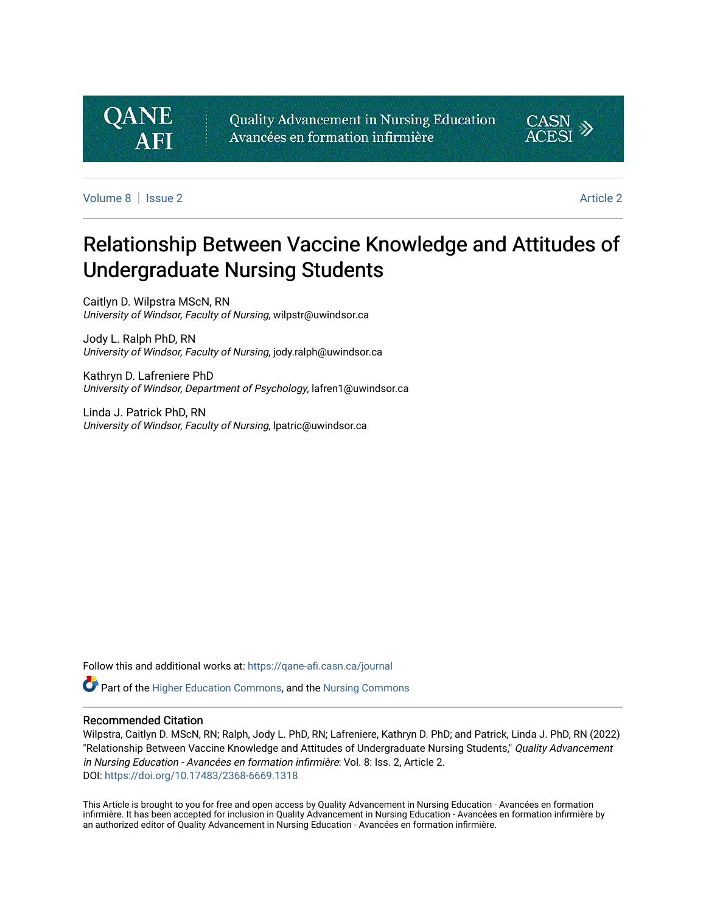

Quality Advancement in Nursing Education Avancées en formation infirmière



[Volume 8](https://qane-afi.casn.ca/journal/vol8) | [Issue 2](https://qane-afi.casn.ca/journal/vol8/iss2) [Article 2](https://qane-afi.casn.ca/journal/vol8/iss2/2) Article 2 Article 2 Article 2 Article 2 Article 2 Article 2 Article 2 Article 2 A

# Relationship Between Vaccine Knowledge and Attitudes of Undergraduate Nursing Students

Caitlyn D. Wilpstra MScN, RN University of Windsor, Faculty of Nursing, wilpstr@uwindsor.ca

Jody L. Ralph PhD, RN University of Windsor, Faculty of Nursing, jody.ralph@uwindsor.ca

Kathryn D. Lafreniere PhD University of Windsor, Department of Psychology, lafren1@uwindsor.ca

Linda J. Patrick PhD, RN University of Windsor, Faculty of Nursing, lpatric@uwindsor.ca

Follow this and additional works at: [https://qane-afi.casn.ca/journal](https://qane-afi.casn.ca/journal?utm_source=qane-afi.casn.ca%2Fjournal%2Fvol8%2Fiss2%2F2&utm_medium=PDF&utm_campaign=PDFCoverPages) 

**C** Part of the [Higher Education Commons](https://network.bepress.com/hgg/discipline/1245?utm_source=qane-afi.casn.ca%2Fjournal%2Fvol8%2Fiss2%2F2&utm_medium=PDF&utm_campaign=PDFCoverPages), and the [Nursing Commons](https://network.bepress.com/hgg/discipline/718?utm_source=qane-afi.casn.ca%2Fjournal%2Fvol8%2Fiss2%2F2&utm_medium=PDF&utm_campaign=PDFCoverPages)

#### Recommended Citation

Wilpstra, Caitlyn D. MScN, RN; Ralph, Jody L. PhD, RN; Lafreniere, Kathryn D. PhD; and Patrick, Linda J. PhD, RN (2022) "Relationship Between Vaccine Knowledge and Attitudes of Undergraduate Nursing Students," Quality Advancement in Nursing Education - Avancées en formation infirmière: Vol. 8: Iss. 2, Article 2. DOI: <https://doi.org/10.17483/2368-6669.1318>

This Article is brought to you for free and open access by Quality Advancement in Nursing Education - Avancées en formation infirmière. It has been accepted for inclusion in Quality Advancement in Nursing Education - Avancées en formation infirmière by an authorized editor of Quality Advancement in Nursing Education - Avancées en formation infirmière.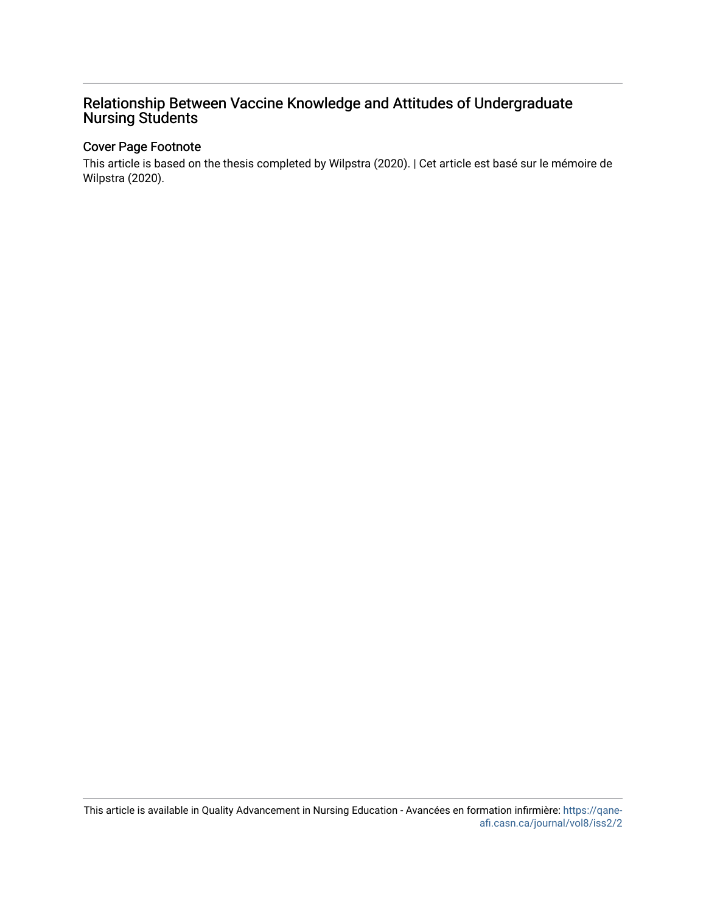## Relationship Between Vaccine Knowledge and Attitudes of Undergraduate Nursing Students

## Cover Page Footnote

This article is based on the thesis completed by Wilpstra (2020). | Cet article est basé sur le mémoire de Wilpstra (2020).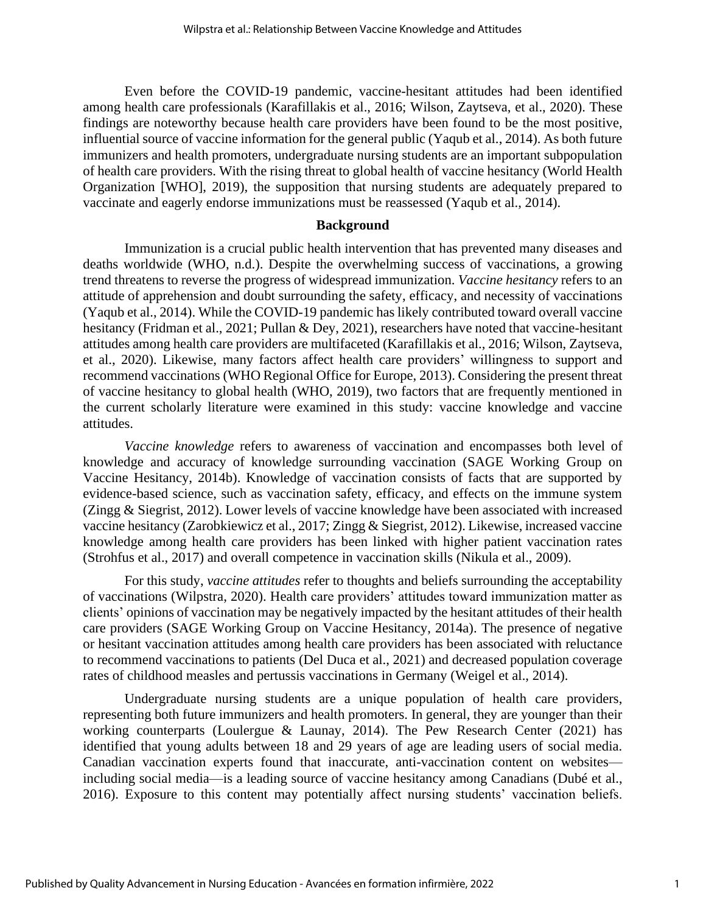Even before the COVID-19 pandemic, vaccine-hesitant attitudes had been identified among health care professionals (Karafillakis et al., 2016; Wilson, Zaytseva, et al., 2020). These findings are noteworthy because health care providers have been found to be the most positive, influential source of vaccine information for the general public (Yaqub et al., 2014). As both future immunizers and health promoters, undergraduate nursing students are an important subpopulation of health care providers. With the rising threat to global health of vaccine hesitancy (World Health Organization [WHO], 2019), the supposition that nursing students are adequately prepared to vaccinate and eagerly endorse immunizations must be reassessed (Yaqub et al., 2014).

#### **Background**

Immunization is a crucial public health intervention that has prevented many diseases and deaths worldwide (WHO, n.d.). Despite the overwhelming success of vaccinations, a growing trend threatens to reverse the progress of widespread immunization. *Vaccine hesitancy* refers to an attitude of apprehension and doubt surrounding the safety, efficacy, and necessity of vaccinations (Yaqub et al., 2014). While the COVID-19 pandemic has likely contributed toward overall vaccine hesitancy (Fridman et al., 2021; Pullan & Dey, 2021), researchers have noted that vaccine-hesitant attitudes among health care providers are multifaceted (Karafillakis et al., 2016; Wilson, Zaytseva, et al., 2020). Likewise, many factors affect health care providers' willingness to support and recommend vaccinations (WHO Regional Office for Europe, 2013). Considering the present threat of vaccine hesitancy to global health (WHO, 2019), two factors that are frequently mentioned in the current scholarly literature were examined in this study: vaccine knowledge and vaccine attitudes.

*Vaccine knowledge* refers to awareness of vaccination and encompasses both level of knowledge and accuracy of knowledge surrounding vaccination (SAGE Working Group on Vaccine Hesitancy, 2014b). Knowledge of vaccination consists of facts that are supported by evidence-based science, such as vaccination safety, efficacy, and effects on the immune system (Zingg & Siegrist, 2012). Lower levels of vaccine knowledge have been associated with increased vaccine hesitancy (Zarobkiewicz et al., 2017; Zingg & Siegrist, 2012). Likewise, increased vaccine knowledge among health care providers has been linked with higher patient vaccination rates (Strohfus et al., 2017) and overall competence in vaccination skills (Nikula et al., 2009).

For this study, *vaccine attitudes* refer to thoughts and beliefs surrounding the acceptability of vaccinations (Wilpstra, 2020). Health care providers' attitudes toward immunization matter as clients' opinions of vaccination may be negatively impacted by the hesitant attitudes of their health care providers (SAGE Working Group on Vaccine Hesitancy, 2014a). The presence of negative or hesitant vaccination attitudes among health care providers has been associated with reluctance to recommend vaccinations to patients (Del Duca et al., 2021) and decreased population coverage rates of childhood measles and pertussis vaccinations in Germany (Weigel et al., 2014).

Undergraduate nursing students are a unique population of health care providers, representing both future immunizers and health promoters. In general, they are younger than their working counterparts (Loulergue & Launay, 2014). The Pew Research Center (2021) has identified that young adults between 18 and 29 years of age are leading users of social media. Canadian vaccination experts found that inaccurate, anti-vaccination content on websites including social media—is a leading source of vaccine hesitancy among Canadians (Dubé et al., 2016). Exposure to this content may potentially affect nursing students' vaccination beliefs.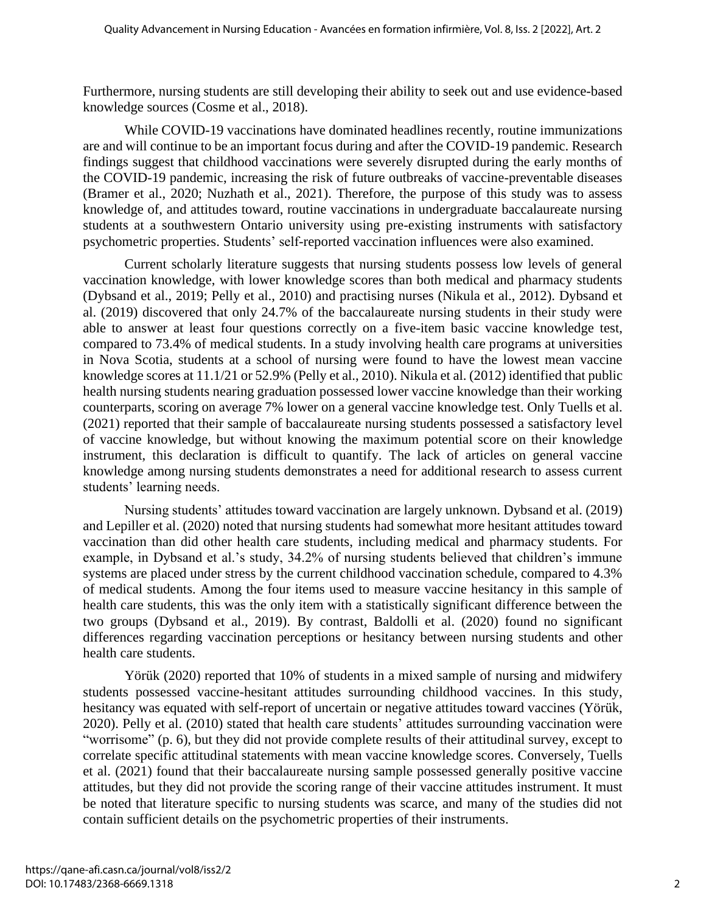Furthermore, nursing students are still developing their ability to seek out and use evidence-based knowledge sources (Cosme et al., 2018).

While COVID-19 vaccinations have dominated headlines recently, routine immunizations are and will continue to be an important focus during and after the COVID-19 pandemic. Research findings suggest that childhood vaccinations were severely disrupted during the early months of the COVID-19 pandemic, increasing the risk of future outbreaks of vaccine-preventable diseases (Bramer et al., 2020; Nuzhath et al., 2021). Therefore, the purpose of this study was to assess knowledge of, and attitudes toward, routine vaccinations in undergraduate baccalaureate nursing students at a southwestern Ontario university using pre-existing instruments with satisfactory psychometric properties. Students' self-reported vaccination influences were also examined.

Current scholarly literature suggests that nursing students possess low levels of general vaccination knowledge, with lower knowledge scores than both medical and pharmacy students (Dybsand et al., 2019; Pelly et al., 2010) and practising nurses (Nikula et al., 2012). Dybsand et al. (2019) discovered that only 24.7% of the baccalaureate nursing students in their study were able to answer at least four questions correctly on a five-item basic vaccine knowledge test, compared to 73.4% of medical students. In a study involving health care programs at universities in Nova Scotia, students at a school of nursing were found to have the lowest mean vaccine knowledge scores at 11.1/21 or 52.9% (Pelly et al., 2010). Nikula et al. (2012) identified that public health nursing students nearing graduation possessed lower vaccine knowledge than their working counterparts, scoring on average 7% lower on a general vaccine knowledge test. Only Tuells et al. (2021) reported that their sample of baccalaureate nursing students possessed a satisfactory level of vaccine knowledge, but without knowing the maximum potential score on their knowledge instrument, this declaration is difficult to quantify. The lack of articles on general vaccine knowledge among nursing students demonstrates a need for additional research to assess current students' learning needs.

Nursing students' attitudes toward vaccination are largely unknown. Dybsand et al. (2019) and Lepiller et al. (2020) noted that nursing students had somewhat more hesitant attitudes toward vaccination than did other health care students, including medical and pharmacy students. For example, in Dybsand et al.'s study, 34.2% of nursing students believed that children's immune systems are placed under stress by the current childhood vaccination schedule, compared to 4.3% of medical students. Among the four items used to measure vaccine hesitancy in this sample of health care students, this was the only item with a statistically significant difference between the two groups (Dybsand et al., 2019). By contrast, Baldolli et al. (2020) found no significant differences regarding vaccination perceptions or hesitancy between nursing students and other health care students.

Yörük (2020) reported that 10% of students in a mixed sample of nursing and midwifery students possessed vaccine-hesitant attitudes surrounding childhood vaccines. In this study, hesitancy was equated with self-report of uncertain or negative attitudes toward vaccines (Yörük, 2020). Pelly et al. (2010) stated that health care students' attitudes surrounding vaccination were "worrisome" (p. 6), but they did not provide complete results of their attitudinal survey, except to correlate specific attitudinal statements with mean vaccine knowledge scores. Conversely, Tuells et al. (2021) found that their baccalaureate nursing sample possessed generally positive vaccine attitudes, but they did not provide the scoring range of their vaccine attitudes instrument. It must be noted that literature specific to nursing students was scarce, and many of the studies did not contain sufficient details on the psychometric properties of their instruments.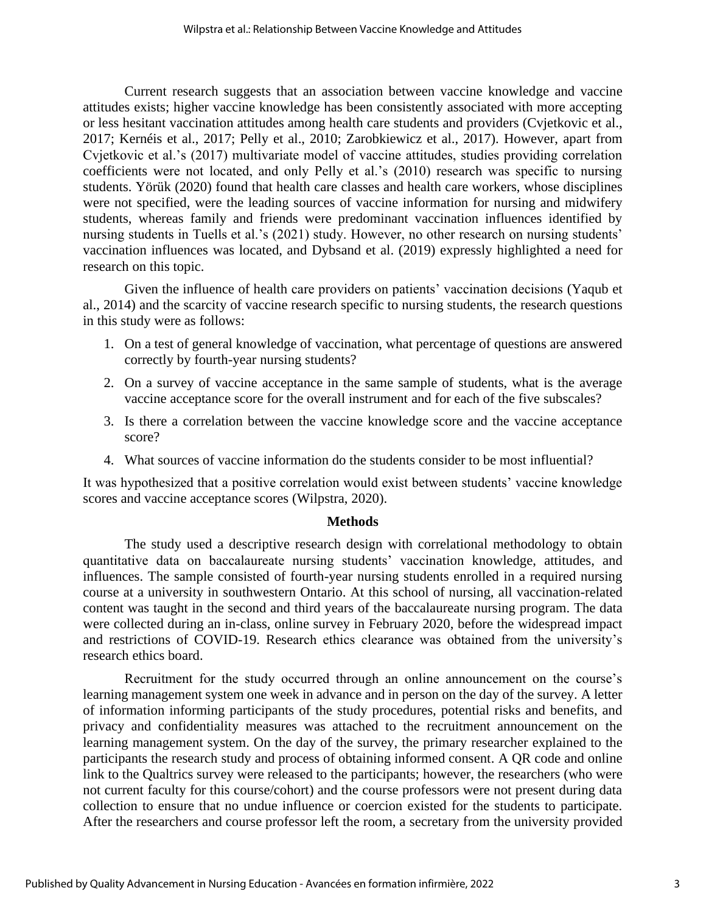Current research suggests that an association between vaccine knowledge and vaccine attitudes exists; higher vaccine knowledge has been consistently associated with more accepting or less hesitant vaccination attitudes among health care students and providers (Cvjetkovic et al., 2017; Kernéis et al., 2017; Pelly et al., 2010; Zarobkiewicz et al., 2017). However, apart from Cvjetkovic et al.'s (2017) multivariate model of vaccine attitudes, studies providing correlation coefficients were not located, and only Pelly et al.'s (2010) research was specific to nursing students. Yörük (2020) found that health care classes and health care workers, whose disciplines were not specified, were the leading sources of vaccine information for nursing and midwifery students, whereas family and friends were predominant vaccination influences identified by nursing students in Tuells et al.'s (2021) study. However, no other research on nursing students' vaccination influences was located, and Dybsand et al. (2019) expressly highlighted a need for research on this topic.

Given the influence of health care providers on patients' vaccination decisions (Yaqub et al., 2014) and the scarcity of vaccine research specific to nursing students, the research questions in this study were as follows:

- 1. On a test of general knowledge of vaccination, what percentage of questions are answered correctly by fourth-year nursing students?
- 2. On a survey of vaccine acceptance in the same sample of students, what is the average vaccine acceptance score for the overall instrument and for each of the five subscales?
- 3. Is there a correlation between the vaccine knowledge score and the vaccine acceptance score?
- 4. What sources of vaccine information do the students consider to be most influential?

It was hypothesized that a positive correlation would exist between students' vaccine knowledge scores and vaccine acceptance scores (Wilpstra, 2020).

## **Methods**

The study used a descriptive research design with correlational methodology to obtain quantitative data on baccalaureate nursing students' vaccination knowledge, attitudes, and influences. The sample consisted of fourth-year nursing students enrolled in a required nursing course at a university in southwestern Ontario. At this school of nursing, all vaccination-related content was taught in the second and third years of the baccalaureate nursing program. The data were collected during an in-class, online survey in February 2020, before the widespread impact and restrictions of COVID-19. Research ethics clearance was obtained from the university's research ethics board.

Recruitment for the study occurred through an online announcement on the course's learning management system one week in advance and in person on the day of the survey. A letter of information informing participants of the study procedures, potential risks and benefits, and privacy and confidentiality measures was attached to the recruitment announcement on the learning management system. On the day of the survey, the primary researcher explained to the participants the research study and process of obtaining informed consent. A QR code and online link to the Qualtrics survey were released to the participants; however, the researchers (who were not current faculty for this course/cohort) and the course professors were not present during data collection to ensure that no undue influence or coercion existed for the students to participate. After the researchers and course professor left the room, a secretary from the university provided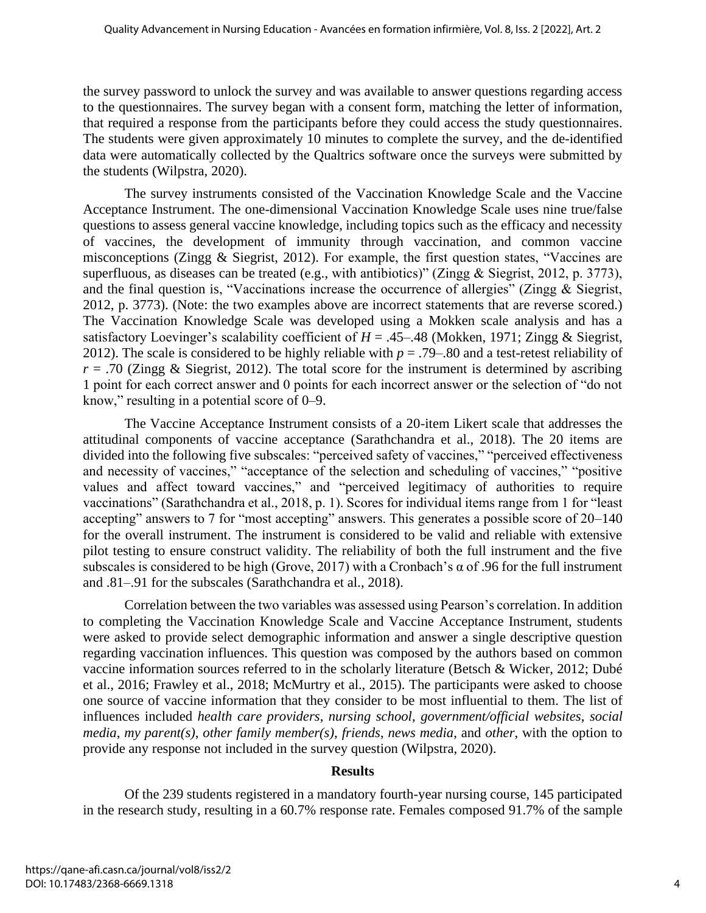the survey password to unlock the survey and was available to answer questions regarding access to the questionnaires. The survey began with a consent form, matching the letter of information, that required a response from the participants before they could access the study questionnaires. The students were given approximately 10 minutes to complete the survey, and the de-identified data were automatically collected by the Qualtrics software once the surveys were submitted by the students (Wilpstra, 2020).

The survey instruments consisted of the Vaccination Knowledge Scale and the Vaccine Acceptance Instrument. The one-dimensional Vaccination Knowledge Scale uses nine true/false questions to assess general vaccine knowledge, including topics such as the efficacy and necessity of vaccines, the development of immunity through vaccination, and common vaccine misconceptions (Zingg & Siegrist, 2012). For example, the first question states, "Vaccines are superfluous, as diseases can be treated (e.g., with antibiotics)" (Zingg & Siegrist, 2012, p. 3773), and the final question is, "Vaccinations increase the occurrence of allergies" (Zingg & Siegrist, 2012, p. 3773). (Note: the two examples above are incorrect statements that are reverse scored.) The Vaccination Knowledge Scale was developed using a Mokken scale analysis and has a satisfactory Loevinger's scalability coefficient of  $H = .45-.48$  (Mokken, 1971; Zingg & Siegrist, 2012). The scale is considered to be highly reliable with  $p = .79-0.80$  and a test-retest reliability of  $r = .70$  (Zingg & Siegrist, 2012). The total score for the instrument is determined by ascribing 1 point for each correct answer and 0 points for each incorrect answer or the selection of "do not know," resulting in a potential score of 0–9.

The Vaccine Acceptance Instrument consists of a 20-item Likert scale that addresses the attitudinal components of vaccine acceptance (Sarathchandra et al., 2018). The 20 items are divided into the following five subscales: "perceived safety of vaccines," "perceived effectiveness and necessity of vaccines," "acceptance of the selection and scheduling of vaccines," "positive values and affect toward vaccines," and "perceived legitimacy of authorities to require vaccinations" (Sarathchandra et al., 2018, p. 1). Scores for individual items range from 1 for "least accepting" answers to 7 for "most accepting" answers. This generates a possible score of 20–140 for the overall instrument. The instrument is considered to be valid and reliable with extensive pilot testing to ensure construct validity. The reliability of both the full instrument and the five subscales is considered to be high (Grove, 2017) with a Cronbach's  $\alpha$  of .96 for the full instrument and .81–.91 for the subscales (Sarathchandra et al., 2018).

Correlation between the two variables was assessed using Pearson's correlation. In addition to completing the Vaccination Knowledge Scale and Vaccine Acceptance Instrument, students were asked to provide select demographic information and answer a single descriptive question regarding vaccination influences. This question was composed by the authors based on common vaccine information sources referred to in the scholarly literature (Betsch & Wicker, 2012; Dubé et al., 2016; Frawley et al., 2018; McMurtry et al., 2015). The participants were asked to choose one source of vaccine information that they consider to be most influential to them. The list of influences included *health care providers*, *nursing school*, *government/official websites*, *social media*, *my parent(s)*, *other family member(s)*, *friends*, *news media*, and *other*, with the option to provide any response not included in the survey question (Wilpstra, 2020).

## **Results**

Of the 239 students registered in a mandatory fourth-year nursing course, 145 participated in the research study, resulting in a 60.7% response rate. Females composed 91.7% of the sample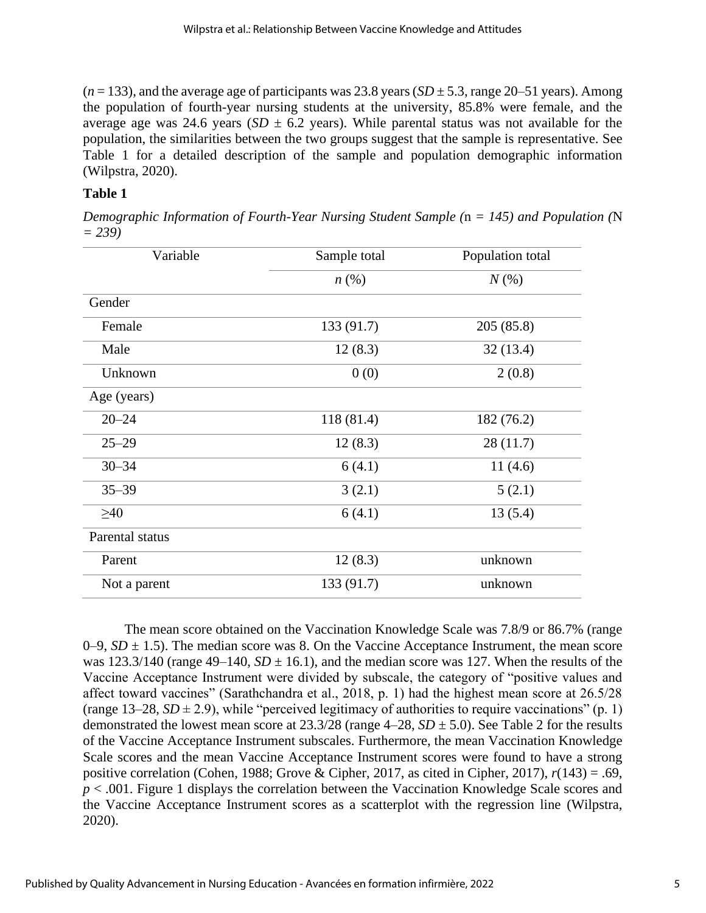$(n = 133)$ , and the average age of participants was 23.8 years  $(SD \pm 5.3)$ , range 20–51 years). Among the population of fourth-year nursing students at the university, 85.8% were female, and the average age was 24.6 years ( $SD \pm 6.2$  years). While parental status was not available for the population, the similarities between the two groups suggest that the sample is representative. See Table 1 for a detailed description of the sample and population demographic information (Wilpstra, 2020).

## **Table 1**

*Demographic Information of Fourth-Year Nursing Student Sample (*n *= 145) and Population (*N *= 239)*

| Sample total       | Population total |  |
|--------------------|------------------|--|
| $n\left(\%\right)$ | $N(\%)$          |  |
|                    |                  |  |
| 133 (91.7)         | 205(85.8)        |  |
| 12(8.3)            | 32(13.4)         |  |
| 0(0)               | 2(0.8)           |  |
|                    |                  |  |
| 118 (81.4)         | 182 (76.2)       |  |
| 12(8.3)            | 28 (11.7)        |  |
| 6(4.1)             | 11(4.6)          |  |
| 3(2.1)             | 5(2.1)           |  |
| 6(4.1)             | 13(5.4)          |  |
|                    |                  |  |
| 12(8.3)            | unknown          |  |
| 133 (91.7)         | unknown          |  |
|                    |                  |  |

The mean score obtained on the Vaccination Knowledge Scale was 7.8/9 or 86.7% (range 0–9,  $SD \pm 1.5$ ). The median score was 8. On the Vaccine Acceptance Instrument, the mean score was  $123.3/140$  (range  $49-140$ ,  $SD \pm 16.1$ ), and the median score was 127. When the results of the Vaccine Acceptance Instrument were divided by subscale, the category of "positive values and affect toward vaccines" (Sarathchandra et al., 2018, p. 1) had the highest mean score at 26.5/28 (range  $13-28$ ,  $SD \pm 2.9$ ), while "perceived legitimacy of authorities to require vaccinations" (p. 1) demonstrated the lowest mean score at  $23.3/28$  (range  $4-28$ ,  $SD \pm 5.0$ ). See Table 2 for the results of the Vaccine Acceptance Instrument subscales. Furthermore, the mean Vaccination Knowledge Scale scores and the mean Vaccine Acceptance Instrument scores were found to have a strong positive correlation (Cohen, 1988; Grove & Cipher, 2017, as cited in Cipher, 2017), *r*(143) = .69, *p* < .001. Figure 1 displays the correlation between the Vaccination Knowledge Scale scores and the Vaccine Acceptance Instrument scores as a scatterplot with the regression line (Wilpstra, 2020).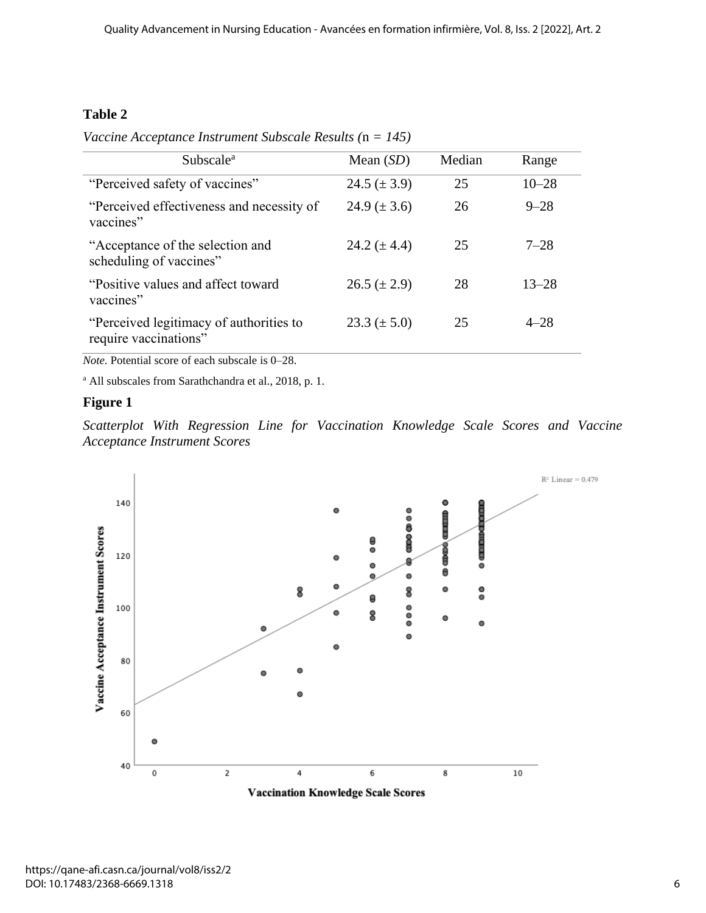## **Table 2**

*Vaccine Acceptance Instrument Subscale Results (*n *= 145)*

| Subscale <sup>a</sup>                                            | Mean $(SD)$        | Median | Range     |
|------------------------------------------------------------------|--------------------|--------|-----------|
| "Perceived safety of vaccines"                                   | $24.5 (\pm 3.9)$   | 25     | $10 - 28$ |
| "Perceived effectiveness and necessity of<br>vaccines"           | $24.9 \ (\pm 3.6)$ | 26     | $9 - 28$  |
| "Acceptance of the selection and<br>scheduling of vaccines"      | 24.2 $(\pm 4.4)$   | 25     | $7 - 28$  |
| "Positive values and affect toward"<br>vaccines"                 | $26.5 (\pm 2.9)$   | 28     | $13 - 28$ |
| "Perceived legitimacy of authorities to<br>require vaccinations" | $23.3 (\pm 5.0)$   | 25     | $4 - 28$  |

*Note.* Potential score of each subscale is 0–28.

<sup>a</sup> All subscales from Sarathchandra et al., 2018, p. 1.

## **Figure 1**

*Scatterplot With Regression Line for Vaccination Knowledge Scale Scores and Vaccine Acceptance Instrument Scores*



**Vaccination Knowledge Scale Scores**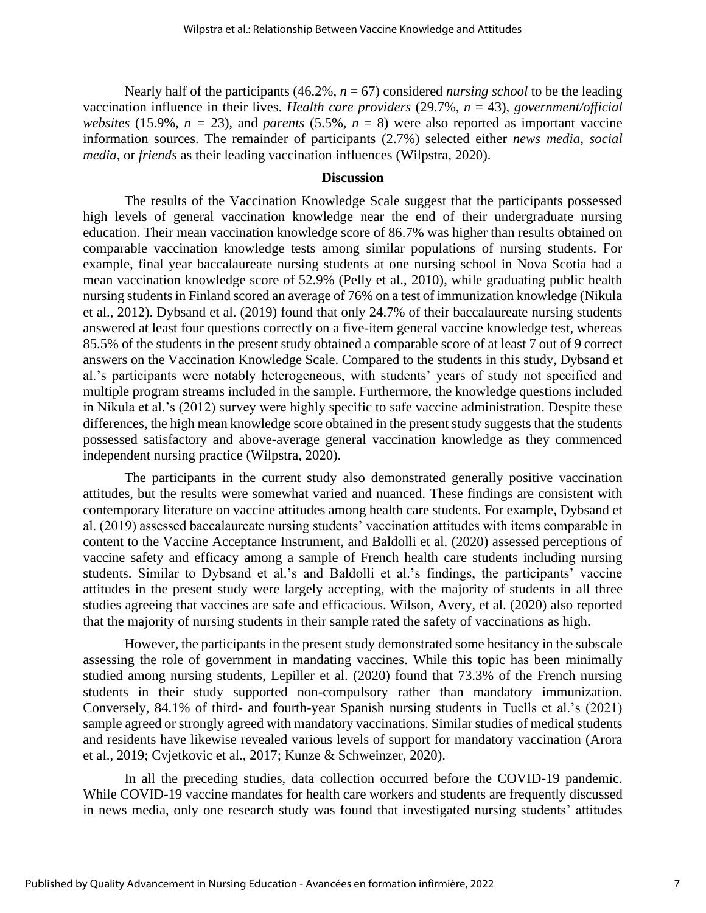Nearly half of the participants  $(46.2\%, n = 67)$  considered *nursing school* to be the leading vaccination influence in their lives. *Health care providers* (29.7%, *n* = 43), *government/official websites* (15.9%,  $n = 23$ ), and *parents* (5.5%,  $n = 8$ ) were also reported as important vaccine information sources. The remainder of participants (2.7%) selected either *news media*, *social media*, or *friends* as their leading vaccination influences (Wilpstra, 2020).

## **Discussion**

The results of the Vaccination Knowledge Scale suggest that the participants possessed high levels of general vaccination knowledge near the end of their undergraduate nursing education. Their mean vaccination knowledge score of 86.7% was higher than results obtained on comparable vaccination knowledge tests among similar populations of nursing students. For example, final year baccalaureate nursing students at one nursing school in Nova Scotia had a mean vaccination knowledge score of 52.9% (Pelly et al., 2010), while graduating public health nursing students in Finland scored an average of 76% on a test of immunization knowledge (Nikula et al., 2012). Dybsand et al. (2019) found that only 24.7% of their baccalaureate nursing students answered at least four questions correctly on a five-item general vaccine knowledge test, whereas 85.5% of the students in the present study obtained a comparable score of at least 7 out of 9 correct answers on the Vaccination Knowledge Scale. Compared to the students in this study, Dybsand et al.'s participants were notably heterogeneous, with students' years of study not specified and multiple program streams included in the sample. Furthermore, the knowledge questions included in Nikula et al.'s (2012) survey were highly specific to safe vaccine administration. Despite these differences, the high mean knowledge score obtained in the present study suggests that the students possessed satisfactory and above-average general vaccination knowledge as they commenced independent nursing practice (Wilpstra, 2020).

The participants in the current study also demonstrated generally positive vaccination attitudes, but the results were somewhat varied and nuanced. These findings are consistent with contemporary literature on vaccine attitudes among health care students. For example, Dybsand et al. (2019) assessed baccalaureate nursing students' vaccination attitudes with items comparable in content to the Vaccine Acceptance Instrument, and Baldolli et al. (2020) assessed perceptions of vaccine safety and efficacy among a sample of French health care students including nursing students. Similar to Dybsand et al.'s and Baldolli et al.'s findings, the participants' vaccine attitudes in the present study were largely accepting, with the majority of students in all three studies agreeing that vaccines are safe and efficacious. Wilson, Avery, et al. (2020) also reported that the majority of nursing students in their sample rated the safety of vaccinations as high.

However, the participants in the present study demonstrated some hesitancy in the subscale assessing the role of government in mandating vaccines. While this topic has been minimally studied among nursing students, Lepiller et al. (2020) found that 73.3% of the French nursing students in their study supported non-compulsory rather than mandatory immunization. Conversely, 84.1% of third- and fourth-year Spanish nursing students in Tuells et al.'s (2021) sample agreed or strongly agreed with mandatory vaccinations. Similar studies of medical students and residents have likewise revealed various levels of support for mandatory vaccination (Arora et al., 2019; Cvjetkovic et al., 2017; Kunze & Schweinzer, 2020).

In all the preceding studies, data collection occurred before the COVID-19 pandemic. While COVID-19 vaccine mandates for health care workers and students are frequently discussed in news media, only one research study was found that investigated nursing students' attitudes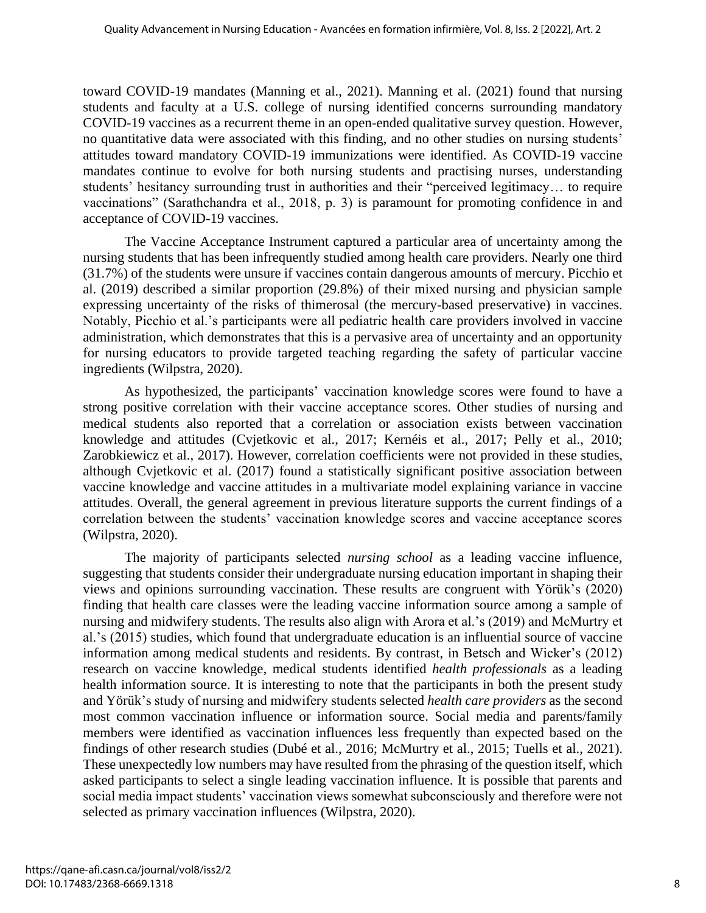toward COVID-19 mandates (Manning et al., 2021). Manning et al. (2021) found that nursing students and faculty at a U.S. college of nursing identified concerns surrounding mandatory COVID-19 vaccines as a recurrent theme in an open-ended qualitative survey question. However, no quantitative data were associated with this finding, and no other studies on nursing students' attitudes toward mandatory COVID-19 immunizations were identified. As COVID-19 vaccine mandates continue to evolve for both nursing students and practising nurses, understanding students' hesitancy surrounding trust in authorities and their "perceived legitimacy… to require vaccinations" (Sarathchandra et al., 2018, p. 3) is paramount for promoting confidence in and acceptance of COVID-19 vaccines.

The Vaccine Acceptance Instrument captured a particular area of uncertainty among the nursing students that has been infrequently studied among health care providers. Nearly one third (31.7%) of the students were unsure if vaccines contain dangerous amounts of mercury. Picchio et al. (2019) described a similar proportion (29.8%) of their mixed nursing and physician sample expressing uncertainty of the risks of thimerosal (the mercury-based preservative) in vaccines. Notably, Picchio et al.'s participants were all pediatric health care providers involved in vaccine administration, which demonstrates that this is a pervasive area of uncertainty and an opportunity for nursing educators to provide targeted teaching regarding the safety of particular vaccine ingredients (Wilpstra, 2020).

As hypothesized, the participants' vaccination knowledge scores were found to have a strong positive correlation with their vaccine acceptance scores. Other studies of nursing and medical students also reported that a correlation or association exists between vaccination knowledge and attitudes (Cvjetkovic et al., 2017; Kernéis et al., 2017; Pelly et al., 2010; Zarobkiewicz et al., 2017). However, correlation coefficients were not provided in these studies, although Cvjetkovic et al. (2017) found a statistically significant positive association between vaccine knowledge and vaccine attitudes in a multivariate model explaining variance in vaccine attitudes. Overall, the general agreement in previous literature supports the current findings of a correlation between the students' vaccination knowledge scores and vaccine acceptance scores (Wilpstra, 2020).

The majority of participants selected *nursing school* as a leading vaccine influence, suggesting that students consider their undergraduate nursing education important in shaping their views and opinions surrounding vaccination. These results are congruent with Yörük's (2020) finding that health care classes were the leading vaccine information source among a sample of nursing and midwifery students. The results also align with Arora et al.'s (2019) and McMurtry et al.'s (2015) studies, which found that undergraduate education is an influential source of vaccine information among medical students and residents. By contrast, in Betsch and Wicker's (2012) research on vaccine knowledge, medical students identified *health professionals* as a leading health information source. It is interesting to note that the participants in both the present study and Yörük's study of nursing and midwifery students selected *health care providers* as the second most common vaccination influence or information source. Social media and parents/family members were identified as vaccination influences less frequently than expected based on the findings of other research studies (Dubé et al., 2016; McMurtry et al., 2015; Tuells et al., 2021). These unexpectedly low numbers may have resulted from the phrasing of the question itself, which asked participants to select a single leading vaccination influence. It is possible that parents and social media impact students' vaccination views somewhat subconsciously and therefore were not selected as primary vaccination influences (Wilpstra, 2020).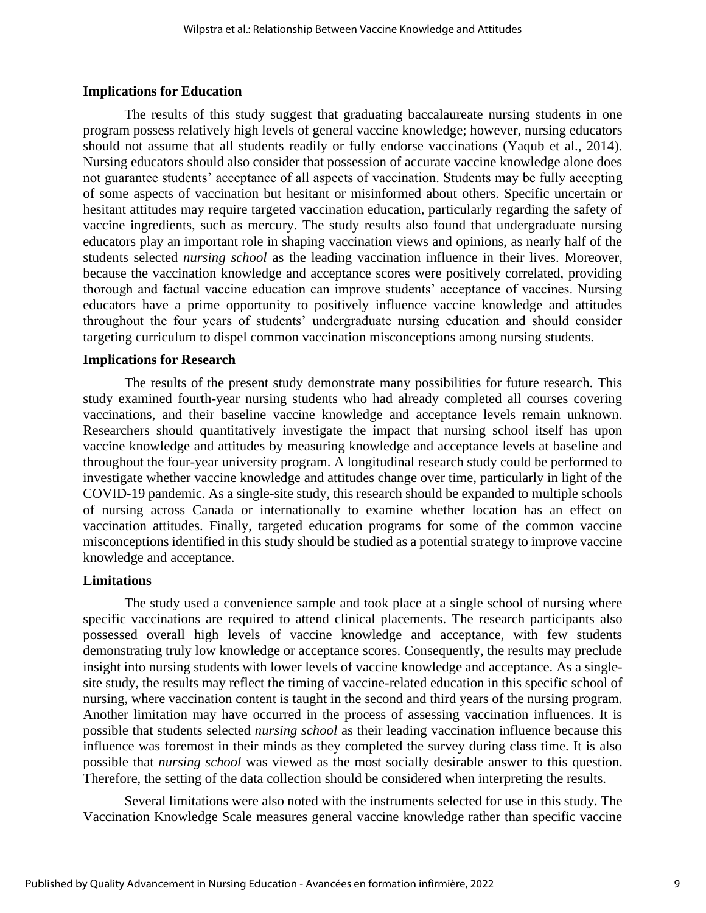#### **Implications for Education**

The results of this study suggest that graduating baccalaureate nursing students in one program possess relatively high levels of general vaccine knowledge; however, nursing educators should not assume that all students readily or fully endorse vaccinations (Yaqub et al., 2014). Nursing educators should also consider that possession of accurate vaccine knowledge alone does not guarantee students' acceptance of all aspects of vaccination. Students may be fully accepting of some aspects of vaccination but hesitant or misinformed about others. Specific uncertain or hesitant attitudes may require targeted vaccination education, particularly regarding the safety of vaccine ingredients, such as mercury. The study results also found that undergraduate nursing educators play an important role in shaping vaccination views and opinions, as nearly half of the students selected *nursing school* as the leading vaccination influence in their lives. Moreover, because the vaccination knowledge and acceptance scores were positively correlated, providing thorough and factual vaccine education can improve students' acceptance of vaccines. Nursing educators have a prime opportunity to positively influence vaccine knowledge and attitudes throughout the four years of students' undergraduate nursing education and should consider targeting curriculum to dispel common vaccination misconceptions among nursing students.

#### **Implications for Research**

The results of the present study demonstrate many possibilities for future research. This study examined fourth-year nursing students who had already completed all courses covering vaccinations, and their baseline vaccine knowledge and acceptance levels remain unknown. Researchers should quantitatively investigate the impact that nursing school itself has upon vaccine knowledge and attitudes by measuring knowledge and acceptance levels at baseline and throughout the four-year university program. A longitudinal research study could be performed to investigate whether vaccine knowledge and attitudes change over time, particularly in light of the COVID-19 pandemic. As a single-site study, this research should be expanded to multiple schools of nursing across Canada or internationally to examine whether location has an effect on vaccination attitudes. Finally, targeted education programs for some of the common vaccine misconceptions identified in this study should be studied as a potential strategy to improve vaccine knowledge and acceptance.

## **Limitations**

The study used a convenience sample and took place at a single school of nursing where specific vaccinations are required to attend clinical placements. The research participants also possessed overall high levels of vaccine knowledge and acceptance, with few students demonstrating truly low knowledge or acceptance scores. Consequently, the results may preclude insight into nursing students with lower levels of vaccine knowledge and acceptance. As a singlesite study, the results may reflect the timing of vaccine-related education in this specific school of nursing, where vaccination content is taught in the second and third years of the nursing program. Another limitation may have occurred in the process of assessing vaccination influences. It is possible that students selected *nursing school* as their leading vaccination influence because this influence was foremost in their minds as they completed the survey during class time. It is also possible that *nursing school* was viewed as the most socially desirable answer to this question. Therefore, the setting of the data collection should be considered when interpreting the results.

Several limitations were also noted with the instruments selected for use in this study. The Vaccination Knowledge Scale measures general vaccine knowledge rather than specific vaccine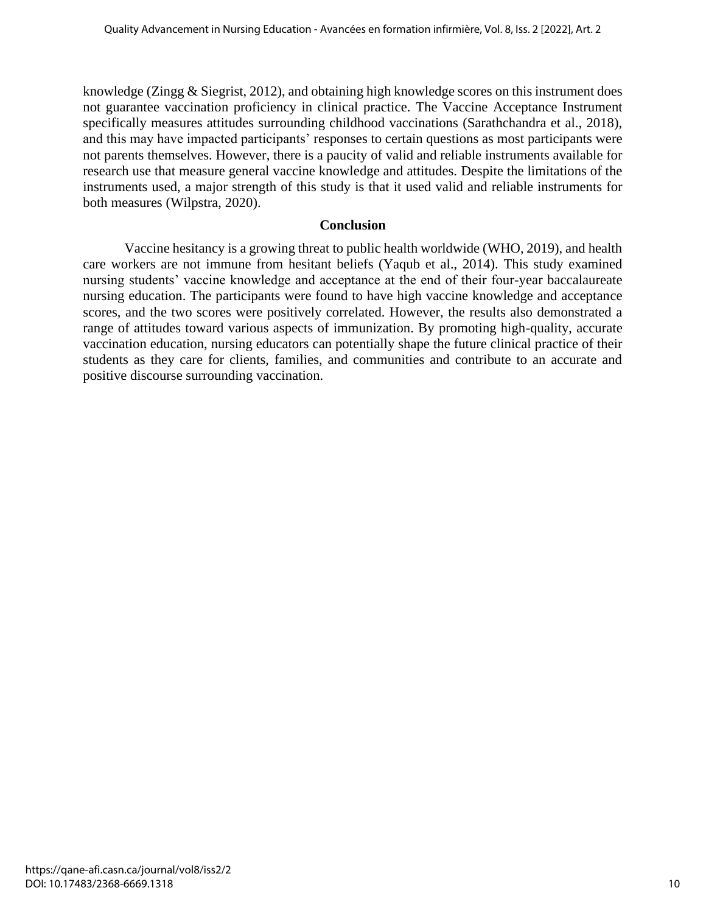knowledge (Zingg & Siegrist, 2012), and obtaining high knowledge scores on this instrument does not guarantee vaccination proficiency in clinical practice. The Vaccine Acceptance Instrument specifically measures attitudes surrounding childhood vaccinations (Sarathchandra et al., 2018), and this may have impacted participants' responses to certain questions as most participants were not parents themselves. However, there is a paucity of valid and reliable instruments available for research use that measure general vaccine knowledge and attitudes. Despite the limitations of the instruments used, a major strength of this study is that it used valid and reliable instruments for both measures (Wilpstra, 2020).

## **Conclusion**

Vaccine hesitancy is a growing threat to public health worldwide (WHO, 2019), and health care workers are not immune from hesitant beliefs (Yaqub et al., 2014). This study examined nursing students' vaccine knowledge and acceptance at the end of their four-year baccalaureate nursing education. The participants were found to have high vaccine knowledge and acceptance scores, and the two scores were positively correlated. However, the results also demonstrated a range of attitudes toward various aspects of immunization. By promoting high-quality, accurate vaccination education, nursing educators can potentially shape the future clinical practice of their students as they care for clients, families, and communities and contribute to an accurate and positive discourse surrounding vaccination.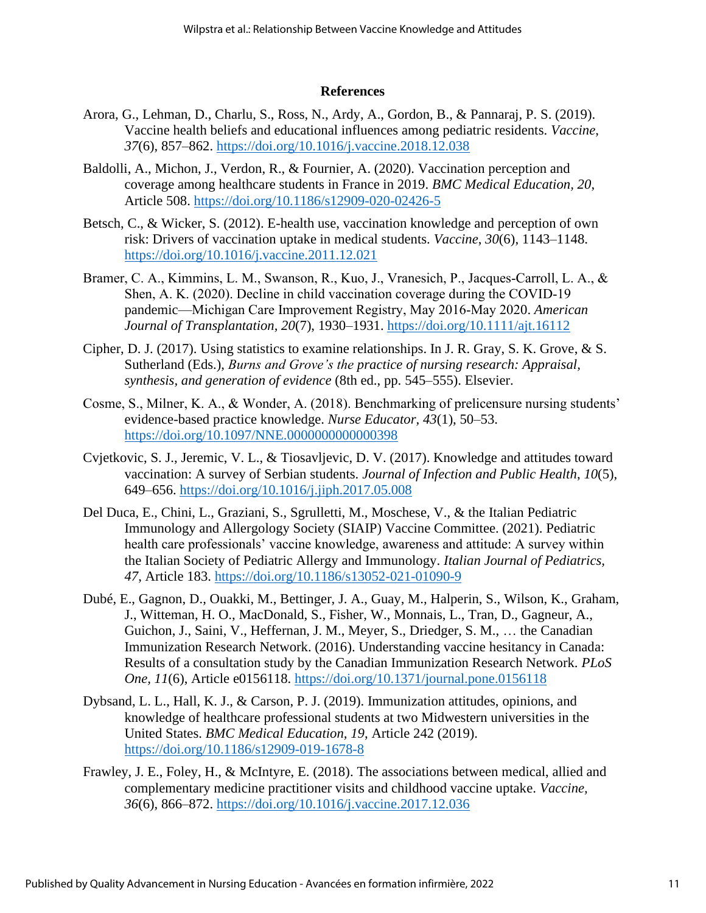## **References**

- Arora, G., Lehman, D., Charlu, S., Ross, N., Ardy, A., Gordon, B., & Pannaraj, P. S. (2019). Vaccine health beliefs and educational influences among pediatric residents. *Vaccine*, *37*(6), 857–862. https://doi.org/10.1016/j.vaccine.2018.12.038
- Baldolli, A., Michon, J., Verdon, R., & Fournier, A. (2020). Vaccination perception and coverage among healthcare students in France in 2019. *BMC Medical Education, 20*, Article 508. https://doi.org/10.1186/s12909-020-02426-5
- Betsch, C., & Wicker, S. (2012). E-health use, vaccination knowledge and perception of own risk: Drivers of vaccination uptake in medical students. *Vaccine*, *30*(6), 1143–1148. https://doi.org/10.1016/j.vaccine.2011.12.021
- Bramer, C. A., Kimmins, L. M., Swanson, R., Kuo, J., Vranesich, P., Jacques‐Carroll, L. A., & Shen, A. K. (2020). Decline in child vaccination coverage during the COVID-19 pandemic—Michigan Care Improvement Registry, May 2016‐May 2020. *American Journal of Transplantation, 20*(7), 1930–1931. https://doi.org/10.1111/ajt.16112
- Cipher, D. J. (2017). Using statistics to examine relationships. In J. R. Gray, S. K. Grove, & S. Sutherland (Eds.), *Burns and Grove's the practice of nursing research: Appraisal, synthesis, and generation of evidence* (8th ed., pp. 545–555). Elsevier.
- Cosme, S., Milner, K. A., & Wonder, A. (2018). Benchmarking of prelicensure nursing students' evidence-based practice knowledge. *Nurse Educator, 43*(1), 50–53. https://doi.org/10.1097/NNE.0000000000000398
- Cvjetkovic, S. J., Jeremic, V. L., & Tiosavljevic, D. V. (2017). Knowledge and attitudes toward vaccination: A survey of Serbian students. *Journal of Infection and Public Health*, *10*(5), 649–656. https://doi.org/10.1016/j.jiph.2017.05.008
- Del Duca, E., Chini, L., Graziani, S., Sgrulletti, M., Moschese, V., & the Italian Pediatric Immunology and Allergology Society (SIAIP) Vaccine Committee. (2021). Pediatric health care professionals' vaccine knowledge, awareness and attitude: A survey within the Italian Society of Pediatric Allergy and Immunology. *Italian Journal of Pediatrics, 47*, Article 183. https://doi.org/10.1186/s13052-021-01090-9
- Dubé, E., Gagnon, D., Ouakki, M., Bettinger, J. A., Guay, M., Halperin, S., Wilson, K., Graham, J., Witteman, H. O., MacDonald, S., Fisher, W., Monnais, L., Tran, D., Gagneur, A., Guichon, J., Saini, V., Heffernan, J. M., Meyer, S., Driedger, S. M., … the Canadian Immunization Research Network. (2016). Understanding vaccine hesitancy in Canada: Results of a consultation study by the Canadian Immunization Research Network. *PLoS One, 11*(6), Article e0156118. https://doi.org/10.1371/journal.pone.0156118
- Dybsand, L. L., Hall, K. J., & Carson, P. J. (2019). Immunization attitudes, opinions, and knowledge of healthcare professional students at two Midwestern universities in the United States. *BMC Medical Education, 19*, Article 242 (2019). https://doi.org/10.1186/s12909-019-1678-8
- Frawley, J. E., Foley, H., & McIntyre, E. (2018). The associations between medical, allied and complementary medicine practitioner visits and childhood vaccine uptake. *Vaccine, 36*(6), 866–872. https://doi.org/10.1016/j.vaccine.2017.12.036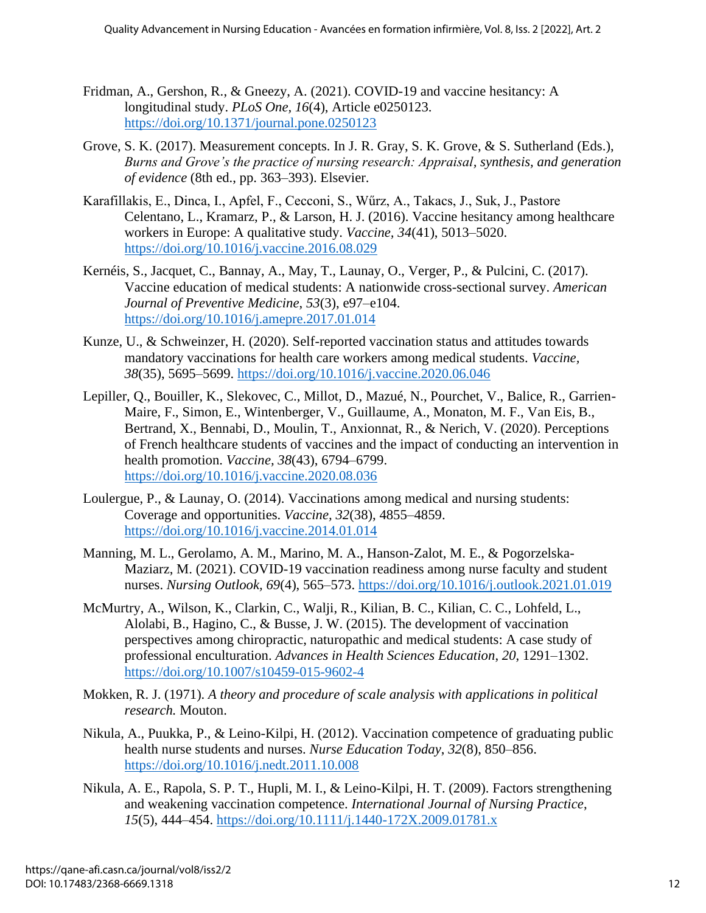- Fridman, A., Gershon, R., & Gneezy, A. (2021). COVID-19 and vaccine hesitancy: A longitudinal study. *PLoS One, 16*(4), Article e0250123. https://doi.org/10.1371/journal.pone.0250123
- Grove, S. K. (2017). Measurement concepts. In J. R. Gray, S. K. Grove, & S. Sutherland (Eds.), *Burns and Grove's the practice of nursing research: Appraisal, synthesis, and generation of evidence* (8th ed., pp. 363–393). Elsevier.
- Karafillakis, E., Dinca, I., Apfel, F., Cecconi, S., Wűrz, A., Takacs, J., Suk, J., Pastore Celentano, L., Kramarz, P., & Larson, H. J. (2016). Vaccine hesitancy among healthcare workers in Europe: A qualitative study. *Vaccine, 34*(41), 5013–5020. https://doi.org/10.1016/j.vaccine.2016.08.029
- Kernéis, S., Jacquet, C., Bannay, A., May, T., Launay, O., Verger, P., & Pulcini, C. (2017). Vaccine education of medical students: A nationwide cross-sectional survey. *American Journal of Preventive Medicine*, *53*(3), e97–e104. https://doi.org/10.1016/j.amepre.2017.01.014
- Kunze, U., & Schweinzer, H. (2020). Self-reported vaccination status and attitudes towards mandatory vaccinations for health care workers among medical students. *Vaccine, 38*(35), 5695–5699. https://doi.org/10.1016/j.vaccine.2020.06.046
- Lepiller, Q., Bouiller, K., Slekovec, C., Millot, D., Mazué, N., Pourchet, V., Balice, R., Garrien-Maire, F., Simon, E., Wintenberger, V., Guillaume, A., Monaton, M. F., Van Eis, B., Bertrand, X., Bennabi, D., Moulin, T., Anxionnat, R., & Nerich, V. (2020). Perceptions of French healthcare students of vaccines and the impact of conducting an intervention in health promotion. *Vaccine, 38*(43), 6794–6799. https://doi.org/10.1016/j.vaccine.2020.08.036
- Loulergue, P., & Launay, O. (2014). Vaccinations among medical and nursing students: Coverage and opportunities. *Vaccine, 32*(38), 4855–4859. https://doi.org/10.1016/j.vaccine.2014.01.014
- Manning, M. L., Gerolamo, A. M., Marino, M. A., Hanson-Zalot, M. E., & Pogorzelska-Maziarz, M. (2021). COVID-19 vaccination readiness among nurse faculty and student nurses. *Nursing Outlook, 69*(4), 565–573. https://doi.org/10.1016/j.outlook.2021.01.019
- McMurtry, A., Wilson, K., Clarkin, C., Walji, R., Kilian, B. C., Kilian, C. C., Lohfeld, L., Alolabi, B., Hagino, C., & Busse, J. W. (2015). The development of vaccination perspectives among chiropractic, naturopathic and medical students: A case study of professional enculturation. *Advances in Health Sciences Education*, *20*, 1291–1302. https://doi.org/10.1007/s10459-015-9602-4
- Mokken, R. J. (1971). *A theory and procedure of scale analysis with applications in political research.* Mouton.
- Nikula, A., Puukka, P., & Leino-Kilpi, H. (2012). Vaccination competence of graduating public health nurse students and nurses. *Nurse Education Today*, *32*(8), 850–856. https://doi.org/10.1016/j.nedt.2011.10.008
- Nikula, A. E., Rapola, S. P. T., Hupli, M. I., & Leino-Kilpi, H. T. (2009). Factors strengthening and weakening vaccination competence. *International Journal of Nursing Practice*, *15*(5), 444–454. https://doi.org/10.1111/j.1440-172X.2009.01781.x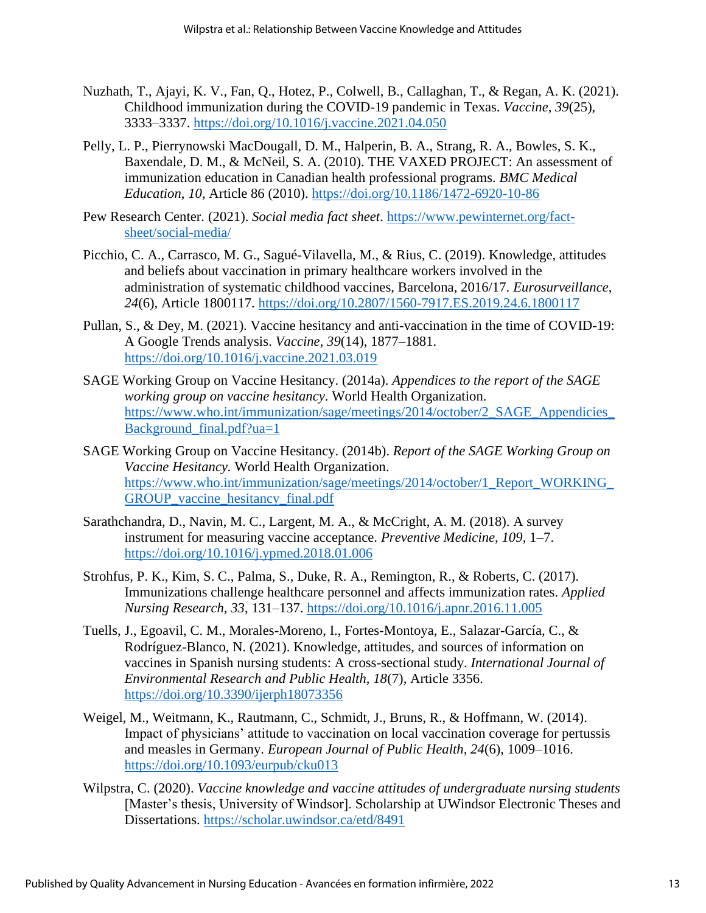- Nuzhath, T., Ajayi, K. V., Fan, Q., Hotez, P., Colwell, B., Callaghan, T., & Regan, A. K. (2021). Childhood immunization during the COVID-19 pandemic in Texas. *Vaccine, 39*(25), 3333–3337. https://doi.org/10.1016/j.vaccine.2021.04.050
- Pelly, L. P., Pierrynowski MacDougall, D. M., Halperin, B. A., Strang, R. A., Bowles, S. K., Baxendale, D. M., & McNeil, S. A. (2010). THE VAXED PROJECT: An assessment of immunization education in Canadian health professional programs. *BMC Medical Education*, *10*, Article 86 (2010). https://doi.org/10.1186/1472-6920-10-86
- Pew Research Center. (2021). *Social media fact sheet*. https://www.pewinternet.org/factsheet/social-media/
- Picchio, C. A., Carrasco, M. G., Sagué-Vilavella, M., & Rius, C. (2019). Knowledge, attitudes and beliefs about vaccination in primary healthcare workers involved in the administration of systematic childhood vaccines, Barcelona, 2016/17. *Eurosurveillance*, *24*(6), Article 1800117. https://doi.org/10.2807/1560-7917.ES.2019.24.6.1800117
- Pullan, S., & Dey, M. (2021). Vaccine hesitancy and anti-vaccination in the time of COVID-19: A Google Trends analysis. *Vaccine, 39*(14), 1877–1881. https://doi.org/10.1016/j.vaccine.2021.03.019
- SAGE Working Group on Vaccine Hesitancy. (2014a). *Appendices to the report of the SAGE working group on vaccine hesitancy*. World Health Organization. https://www.who.int/immunization/sage/meetings/2014/october/2\_SAGE\_Appendicies\_ Background\_final.pdf?ua=1
- SAGE Working Group on Vaccine Hesitancy. (2014b). *Report of the SAGE Working Group on Vaccine Hesitancy.* World Health Organization. https://www.who.int/immunization/sage/meetings/2014/october/1\_Report\_WORKING GROUP vaccine hesitancy final.pdf
- Sarathchandra, D., Navin, M. C., Largent, M. A., & McCright, A. M. (2018). A survey instrument for measuring vaccine acceptance. *Preventive Medicine, 109*, 1–7. https://doi.org/10.1016/j.ypmed.2018.01.006
- Strohfus, P. K., Kim, S. C., Palma, S., Duke, R. A., Remington, R., & Roberts, C. (2017). Immunizations challenge healthcare personnel and affects immunization rates. *Applied Nursing Research, 33*, 131–137. https://doi.org/10.1016/j.apnr.2016.11.005
- Tuells, J., Egoavil, C. M., Morales-Moreno, I., Fortes-Montoya, E., Salazar-García, C., & Rodríguez-Blanco, N. (2021). Knowledge, attitudes, and sources of information on vaccines in Spanish nursing students: A cross-sectional study. *International Journal of Environmental Research and Public Health, 18*(7), Article 3356. https://doi.org/10.3390/ijerph18073356
- Weigel, M., Weitmann, K., Rautmann, C., Schmidt, J., Bruns, R., & Hoffmann, W. (2014). Impact of physicians' attitude to vaccination on local vaccination coverage for pertussis and measles in Germany. *European Journal of Public Health, 24*(6), 1009–1016. https://doi.org/10.1093/eurpub/cku013
- Wilpstra, C. (2020). *Vaccine knowledge and vaccine attitudes of undergraduate nursing students* [Master's thesis, University of Windsor]. Scholarship at UWindsor Electronic Theses and Dissertations. https://scholar.uwindsor.ca/etd/8491